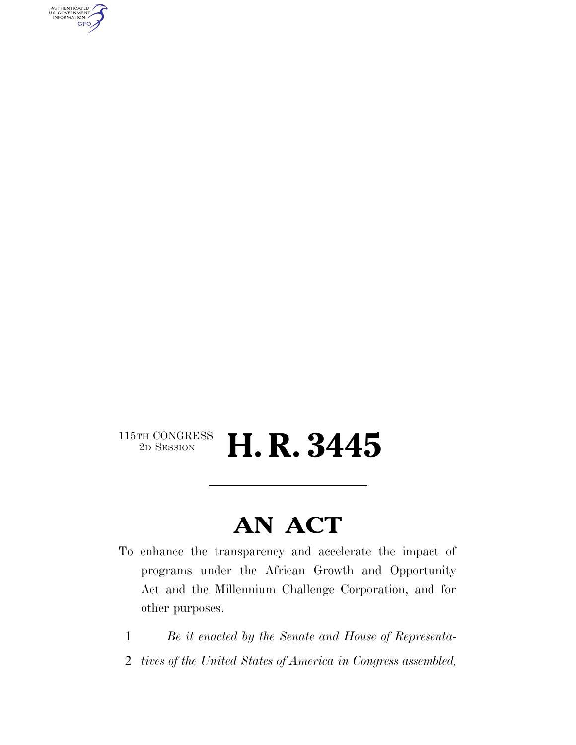AUTHENTICATED<br>U.S. GOVERNMENT<br>INFORMATION GPO

### $\begin{array}{c} \textbf{115TH CONGRESS} \\ \textbf{2D SESION} \end{array}$ **H. R. 3445**

# **AN ACT**

- To enhance the transparency and accelerate the impact of programs under the African Growth and Opportunity Act and the Millennium Challenge Corporation, and for other purposes.
	- 1 *Be it enacted by the Senate and House of Representa-*
- 2 *tives of the United States of America in Congress assembled,*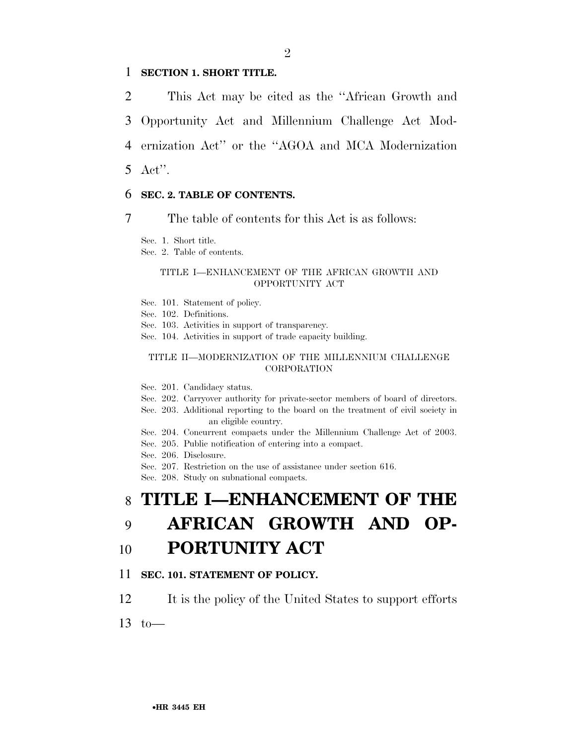### 1 **SECTION 1. SHORT TITLE.**

 This Act may be cited as the ''African Growth and Opportunity Act and Millennium Challenge Act Mod- ernization Act'' or the ''AGOA and MCA Modernization 5 Act''.

### 6 **SEC. 2. TABLE OF CONTENTS.**

7 The table of contents for this Act is as follows:

Sec. 1. Short title.

Sec. 2. Table of contents.

#### TITLE I—ENHANCEMENT OF THE AFRICAN GROWTH AND OPPORTUNITY ACT

- Sec. 101. Statement of policy.
- Sec. 102. Definitions.
- Sec. 103. Activities in support of transparency.
- Sec. 104. Activities in support of trade capacity building.

#### TITLE II—MODERNIZATION OF THE MILLENNIUM CHALLENGE **CORPORATION**

Sec. 201. Candidacy status.

- Sec. 202. Carryover authority for private-sector members of board of directors.
- Sec. 203. Additional reporting to the board on the treatment of civil society in an eligible country.
- Sec. 204. Concurrent compacts under the Millennium Challenge Act of 2003.
- Sec. 205. Public notification of entering into a compact.
- Sec. 206. Disclosure.
- Sec. 207. Restriction on the use of assistance under section 616.

Sec. 208. Study on subnational compacts.

## 8 **TITLE I—ENHANCEMENT OF THE**

# 9 **AFRICAN GROWTH AND OP-**

## 10 **PORTUNITY ACT**

### 11 **SEC. 101. STATEMENT OF POLICY.**

- 12 It is the policy of the United States to support efforts
- $13 \text{ to}$ —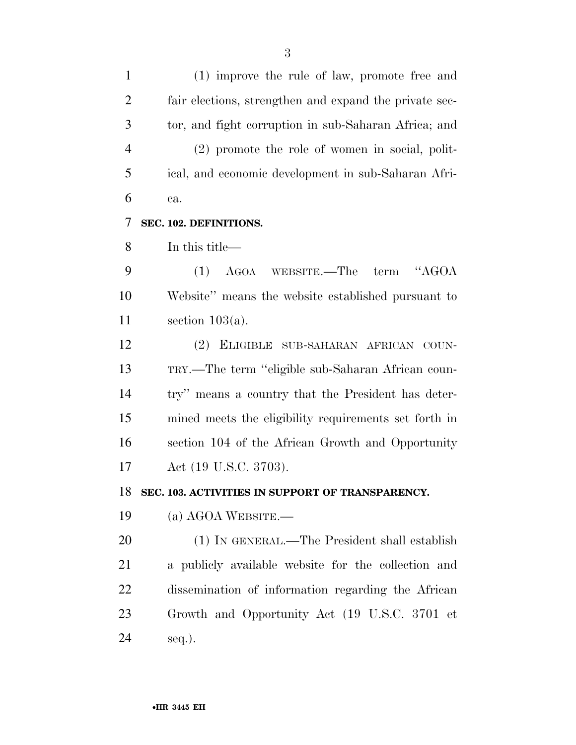(1) improve the rule of law, promote free and fair elections, strengthen and expand the private sec- tor, and fight corruption in sub-Saharan Africa; and (2) promote the role of women in social, polit- ical, and economic development in sub-Saharan Afri- ca. **SEC. 102. DEFINITIONS.**  In this title— (1) AGOA WEBSITE.—The term ''AGOA Website'' means the website established pursuant to section 103(a). (2) ELIGIBLE SUB-SAHARAN AFRICAN COUN- TRY.—The term ''eligible sub-Saharan African coun- try'' means a country that the President has deter- mined meets the eligibility requirements set forth in section 104 of the African Growth and Opportunity Act (19 U.S.C. 3703). **SEC. 103. ACTIVITIES IN SUPPORT OF TRANSPARENCY.**  (a) AGOA WEBSITE.— (1) IN GENERAL.—The President shall establish a publicly available website for the collection and dissemination of information regarding the African Growth and Opportunity Act (19 U.S.C. 3701 et seq.).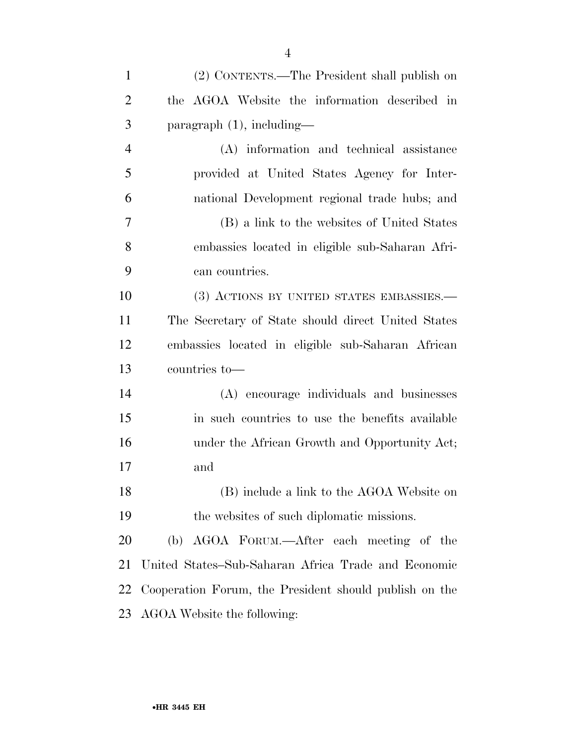| $\mathbf{1}$   | (2) CONTENTS.—The President shall publish on           |
|----------------|--------------------------------------------------------|
| $\overline{2}$ | the AGOA Website the information described in          |
| 3              | $\text{paragnph } (1)$ , including—                    |
| $\overline{4}$ | (A) information and technical assistance               |
| 5              | provided at United States Agency for Inter-            |
| 6              | national Development regional trade hubs; and          |
| 7              | (B) a link to the websites of United States            |
| 8              | embassies located in eligible sub-Saharan Afri-        |
| 9              | can countries.                                         |
| 10             | (3) ACTIONS BY UNITED STATES EMBASSIES.—               |
| 11             | The Secretary of State should direct United States     |
| 12             | embassies located in eligible sub-Saharan African      |
| 13             | countries to-                                          |
| 14             | (A) encourage individuals and businesses               |
| 15             | in such countries to use the benefits available        |
| 16             | under the African Growth and Opportunity Act;          |
| 17             | and                                                    |
| 18             | (B) include a link to the AGOA Website on              |
| 19             | the websites of such diplomatic missions.              |
| 20             | AGOA FORUM.—After each meeting of the<br>(b)           |
| 21             | United States–Sub-Saharan Africa Trade and Economic    |
| 22             | Cooperation Forum, the President should publish on the |
| 23             | AGOA Website the following:                            |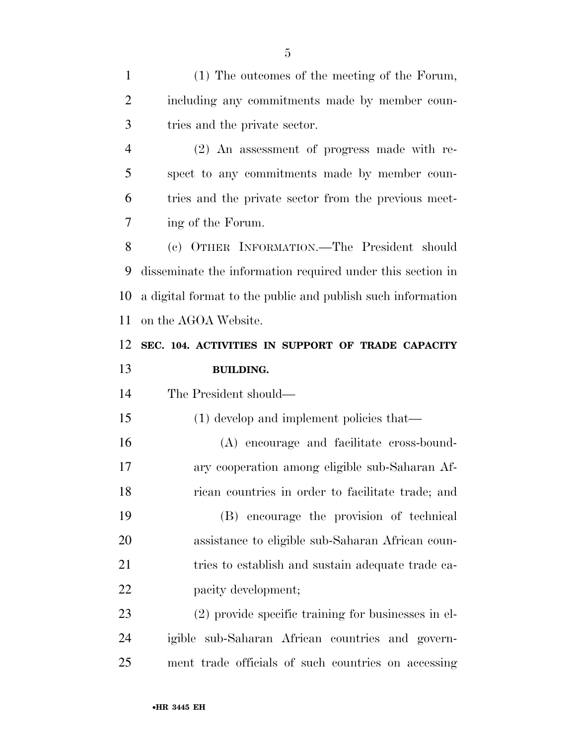(1) The outcomes of the meeting of the Forum, including any commitments made by member coun- tries and the private sector. (2) An assessment of progress made with re- spect to any commitments made by member coun- tries and the private sector from the previous meet- ing of the Forum. (c) OTHER INFORMATION.—The President should disseminate the information required under this section in a digital format to the public and publish such information on the AGOA Website. **SEC. 104. ACTIVITIES IN SUPPORT OF TRADE CAPACITY BUILDING.**  The President should— 15 (1) develop and implement policies that—

 (A) encourage and facilitate cross-bound- ary cooperation among eligible sub-Saharan Af- rican countries in order to facilitate trade; and (B) encourage the provision of technical assistance to eligible sub-Saharan African coun-21 tries to establish and sustain adequate trade ca-22 pacity development;

 (2) provide specific training for businesses in el- igible sub-Saharan African countries and govern-ment trade officials of such countries on accessing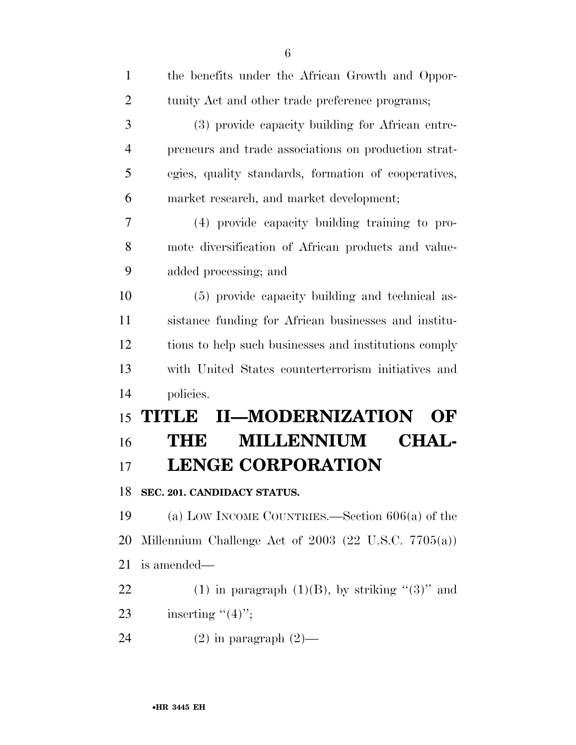| $\mathbf{1}$   | the benefits under the African Growth and Oppor-       |
|----------------|--------------------------------------------------------|
| $\overline{2}$ | tunity Act and other trade preference programs;        |
| 3              | (3) provide capacity building for African entre-       |
| $\overline{4}$ | preneurs and trade associations on production strat-   |
| 5              | egies, quality standards, formation of cooperatives,   |
| 6              | market research, and market development;               |
| 7              | (4) provide capacity building training to pro-         |
| 8              | mote diversification of African products and value-    |
| 9              | added processing; and                                  |
| 10             | (5) provide capacity building and technical as-        |
| 11             | sistance funding for African businesses and institu-   |
| 12             | tions to help such businesses and institutions comply  |
| 13             | with United States counterterrorism initiatives and    |
| 14             | policies.                                              |
| 15             | <b>II-MODERNIZATION</b><br><b>THULE</b><br>OF          |
| 16             | <b>MILLENNIUM</b><br><b>CHAL-</b><br>THE               |
| 17             | <b>LENGE CORPORATION</b>                               |
|                | 18 SEC. 201. CANDIDACY STATUS.                         |
| 19             | (a) LOW INCOME COUNTRIES.—Section $606(a)$ of the      |
| 20             | Millennium Challenge Act of $2003$ (22 U.S.C. 7705(a)) |
| 21             | is amended—                                            |
| 22             | (1) in paragraph $(1)(B)$ , by striking " $(3)$ " and  |
| 23             | inserting $"(4)"$ ;                                    |
| 24             |                                                        |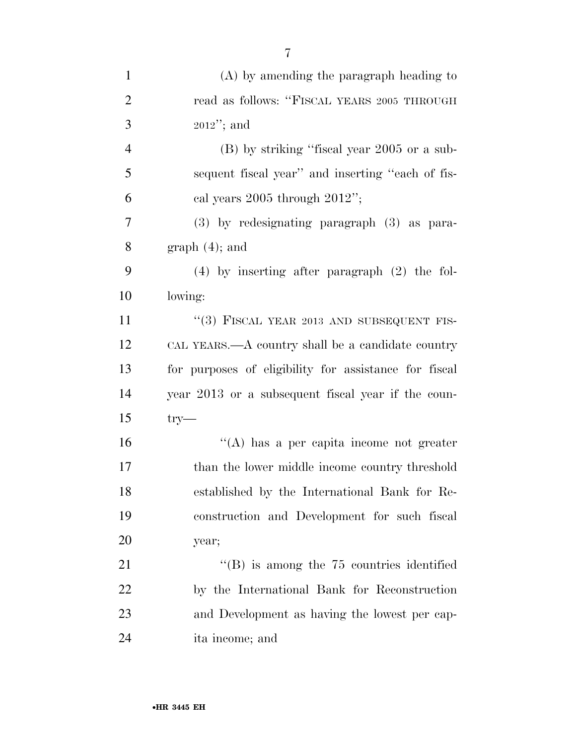| $\mathbf{1}$   | $(A)$ by amending the paragraph heading to            |
|----------------|-------------------------------------------------------|
| $\overline{2}$ | read as follows: "FISCAL YEARS 2005 THROUGH           |
| 3              | $2012$ "; and                                         |
| $\overline{4}$ | (B) by striking "fiscal year 2005 or a sub-           |
| 5              | sequent fiscal year" and inserting "each of fis-      |
| 6              | cal years $2005$ through $2012$ ";                    |
| 7              | (3) by redesignating paragraph (3) as para-           |
| 8              | $graph(4)$ ; and                                      |
| 9              | $(4)$ by inserting after paragraph $(2)$ the fol-     |
| 10             | lowing:                                               |
| 11             | "(3) FISCAL YEAR 2013 AND SUBSEQUENT FIS-             |
| 12             | CAL YEARS.—A country shall be a candidate country     |
| 13             | for purposes of eligibility for assistance for fiscal |
| 14             | year 2013 or a subsequent fiscal year if the coun-    |
| 15             | $try-$                                                |
| 16             | $\lq\lq$ has a per capita income not greater          |
| 17             | than the lower middle income country threshold        |
| 18             | established by the International Bank for Re-         |
| 19             | construction and Development for such fiscal          |
| 20             | year;                                                 |
| 21             | $\lq\lq$ is among the 75 countries identified         |
| 22             | by the International Bank for Reconstruction          |
| 23             | and Development as having the lowest per cap-         |
| 24             | ita income; and                                       |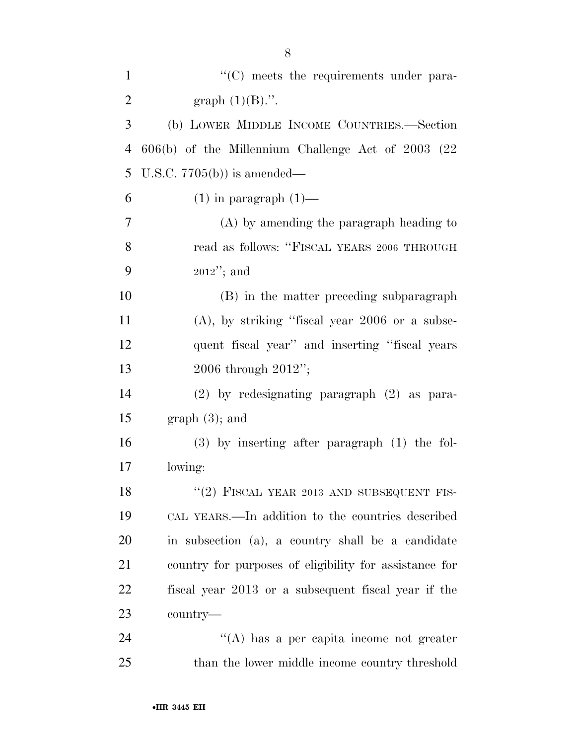| $\mathbf{1}$   | $\cdot$ (C) meets the requirements under para-         |
|----------------|--------------------------------------------------------|
| $\overline{2}$ | graph $(1)(B)$ .".                                     |
| 3              | (b) LOWER MIDDLE INCOME COUNTRIES.-Section             |
| $\overline{4}$ | 606(b) of the Millennium Challenge Act of 2003 (22     |
| 5              | U.S.C. $7705(b)$ is amended—                           |
| 6              | $(1)$ in paragraph $(1)$ —                             |
| 7              | $(A)$ by amending the paragraph heading to             |
| 8              | read as follows: "FISCAL YEARS 2006 THROUGH            |
| 9              | $2012$ "; and                                          |
| 10             | (B) in the matter preceding subparagraph               |
| 11             | $(A)$ , by striking "fiscal year 2006 or a subse-      |
| 12             | quent fiscal year" and inserting "fiscal years"        |
| 13             | 2006 through 2012";                                    |
| 14             | $(2)$ by redesignating paragraph $(2)$ as para-        |
| 15             | $graph(3)$ ; and                                       |
| 16             | $(3)$ by inserting after paragraph $(1)$ the fol-      |
| 17             | lowing:                                                |
| 18             | "(2) FISCAL YEAR 2013 AND SUBSEQUENT FIS-              |
| 19             | CAL YEARS.—In addition to the countries described      |
| 20             | in subsection (a), a country shall be a candidate      |
| 21             | country for purposes of eligibility for assistance for |
| 22             | fiscal year 2013 or a subsequent fiscal year if the    |
| 23             | country-                                               |
| 24             | "(A) has a per capita income not greater               |
| 25             | than the lower middle income country threshold         |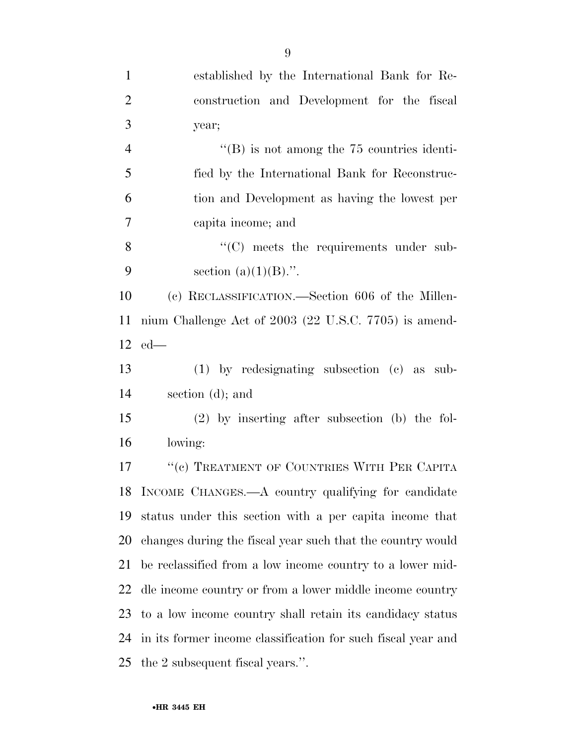| $\mathbf{1}$   | established by the International Bank for Re-                |
|----------------|--------------------------------------------------------------|
| $\overline{2}$ | construction and Development for the fiscal                  |
| 3              | year;                                                        |
| $\overline{4}$ | $\mathrm{``(B)}$ is not among the 75 countries identi-       |
| 5              | fied by the International Bank for Reconstruc-               |
| 6              | tion and Development as having the lowest per                |
| $\tau$         | capita income; and                                           |
| 8              | $\cdot$ (C) meets the requirements under sub-                |
| 9              | section $(a)(1)(B)$ .".                                      |
| 10             | (c) RECLASSIFICATION.—Section 606 of the Millen-             |
| 11             | nium Challenge Act of 2003 (22 U.S.C. 7705) is amend-        |
|                | $12$ ed—                                                     |
| 13             | (1) by redesignating subsection (c) as sub-                  |
| 14             | section $(d)$ ; and                                          |
| 15             | $(2)$ by inserting after subsection (b) the fol-             |
| 16             | lowing:                                                      |
| 17             | "(c) TREATMENT OF COUNTRIES WITH PER CAPITA                  |
| 18             | INCOME CHANGES.—A country qualifying for candidate           |
| 19             | status under this section with a per capita income that      |
| 20             | changes during the fiscal year such that the country would   |
| 21             | be reclassified from a low income country to a lower mid-    |
| 22             | dle income country or from a lower middle income country     |
| 23             | to a low income country shall retain its candidacy status    |
| 24             | in its former income classification for such fiscal year and |
| 25             | the 2 subsequent fiscal years.".                             |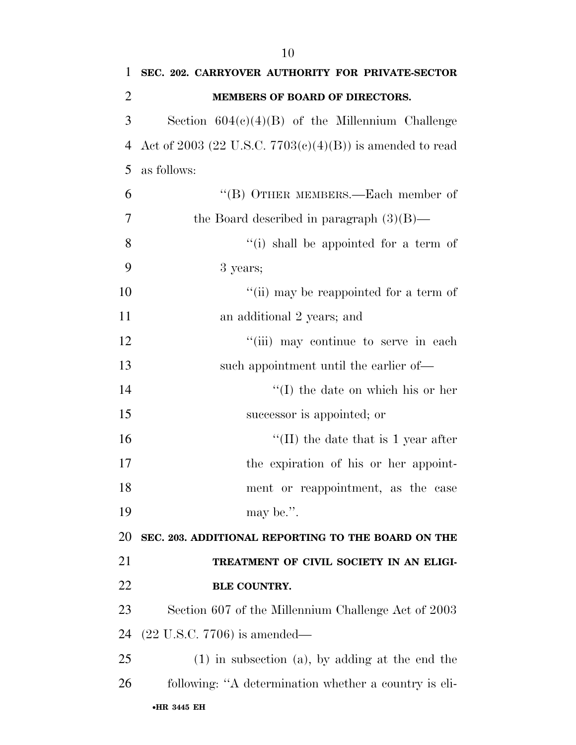| 1              | SEC. 202. CARRYOVER AUTHORITY FOR PRIVATE-SECTOR            |
|----------------|-------------------------------------------------------------|
| $\overline{2}$ | MEMBERS OF BOARD OF DIRECTORS.                              |
| 3              | Section $604(c)(4)(B)$ of the Millennium Challenge          |
| 4              | Act of 2003 (22 U.S.C. $7703(c)(4)(B)$ ) is amended to read |
| 5              | as follows:                                                 |
| 6              | "(B) OTHER MEMBERS.—Each member of                          |
| 7              | the Board described in paragraph $(3)(B)$ —                 |
| 8              | $f'(i)$ shall be appointed for a term of                    |
| 9              | 3 years;                                                    |
| 10             | "(ii) may be reappointed for a term of                      |
| 11             | an additional 2 years; and                                  |
| 12             | "(iii) may continue to serve in each                        |
| 13             | such appointment until the earlier of—                      |
| 14             | $\lq\lq$ the date on which his or her                       |
| 15             | successor is appointed; or                                  |
| 16             | $\lq$ (II) the date that is 1 year after                    |
| 17             | the expiration of his or her appoint-                       |
| 18             | ment or reappointment, as the case                          |
| 19             | may be.".                                                   |
| 20             | SEC. 203. ADDITIONAL REPORTING TO THE BOARD ON THE          |
| 21             | TREATMENT OF CIVIL SOCIETY IN AN ELIGI-                     |
| 22             | <b>BLE COUNTRY.</b>                                         |
| 23             | Section 607 of the Millennium Challenge Act of 2003         |
| 24             | $(22 \text{ U.S.C. } 7706)$ is amended—                     |
| 25             | $(1)$ in subsection $(a)$ , by adding at the end the        |
| 26             | following: "A determination whether a country is eli-       |
|                | •HR 3445 EH                                                 |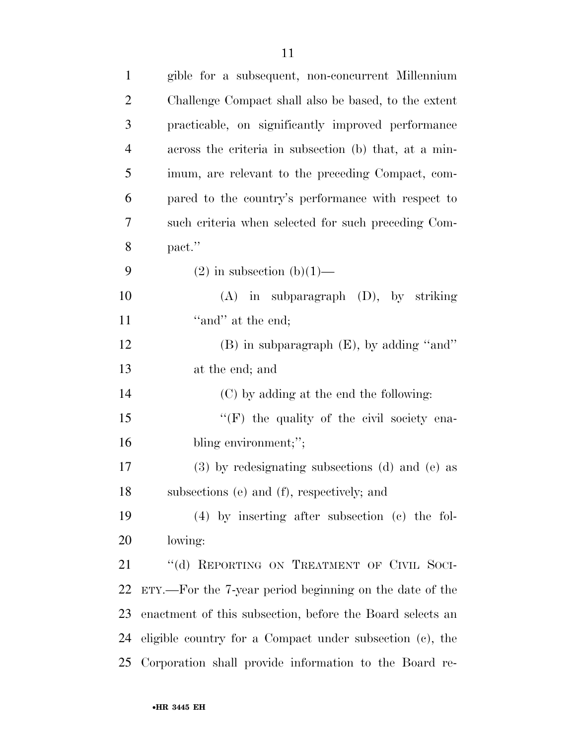| $\mathbf{1}$   | gible for a subsequent, non-concurrent Millennium         |
|----------------|-----------------------------------------------------------|
| $\overline{2}$ | Challenge Compact shall also be based, to the extent      |
| 3              | practicable, on significantly improved performance        |
| $\overline{4}$ | across the criteria in subsection (b) that, at a min-     |
| 5              | imum, are relevant to the preceding Compact, com-         |
| 6              | pared to the country's performance with respect to        |
| 7              | such criteria when selected for such preceding Com-       |
| 8              | pact."                                                    |
| 9              | $(2)$ in subsection $(b)(1)$ —                            |
| 10             | $(A)$ in subparagraph $(D)$ , by striking                 |
| 11             | "and" at the end;                                         |
| 12             | (B) in subparagraph (E), by adding "and"                  |
| 13             | at the end; and                                           |
| 14             | (C) by adding at the end the following:                   |
| 15             | $\lq\lq(F)$ the quality of the civil society ena-         |
| 16             | bling environment;";                                      |
| 17             | (3) by redesignating subsections (d) and (e) as           |
| 18             | subsections (e) and (f), respectively; and                |
| 19             | $(4)$ by inserting after subsection (c) the fol-          |
| 20             | lowing:                                                   |
| 21             | "(d) REPORTING ON TREATMENT OF CIVIL SOCI-                |
| 22             | ETY.—For the 7-year period beginning on the date of the   |
| 23             | enactment of this subsection, before the Board selects an |
| 24             | eligible country for a Compact under subsection (c), the  |
| 25             | Corporation shall provide information to the Board re-    |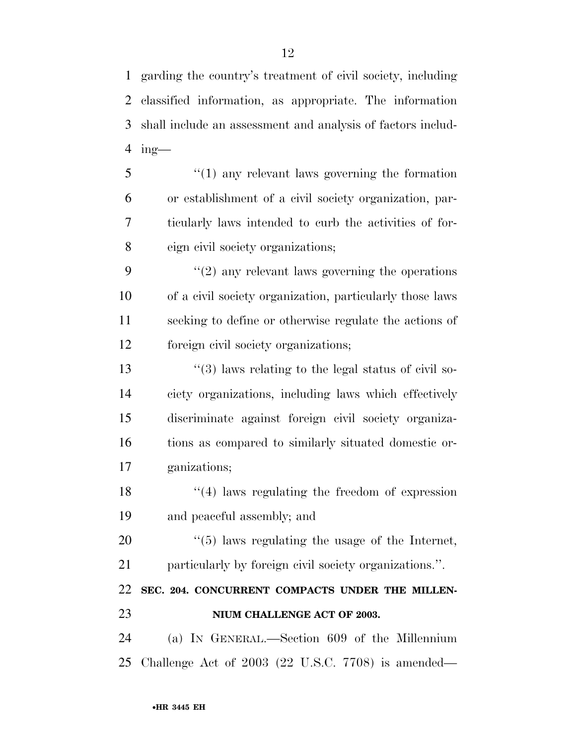garding the country's treatment of civil society, including classified information, as appropriate. The information shall include an assessment and analysis of factors includ-ing—

 ''(1) any relevant laws governing the formation or establishment of a civil society organization, par- ticularly laws intended to curb the activities of for-eign civil society organizations;

9 ''(2) any relevant laws governing the operations of a civil society organization, particularly those laws seeking to define or otherwise regulate the actions of foreign civil society organizations;

 $\frac{13}{2}$   $\frac{13}{2}$  laws relating to the legal status of civil so- ciety organizations, including laws which effectively discriminate against foreign civil society organiza- tions as compared to similarly situated domestic or-ganizations;

18 ''(4) laws regulating the freedom of expression and peaceful assembly; and

 ''(5) laws regulating the usage of the Internet, particularly by foreign civil society organizations.''.

### **SEC. 204. CONCURRENT COMPACTS UNDER THE MILLEN-NIUM CHALLENGE ACT OF 2003.**

 (a) IN GENERAL.—Section 609 of the Millennium Challenge Act of 2003 (22 U.S.C. 7708) is amended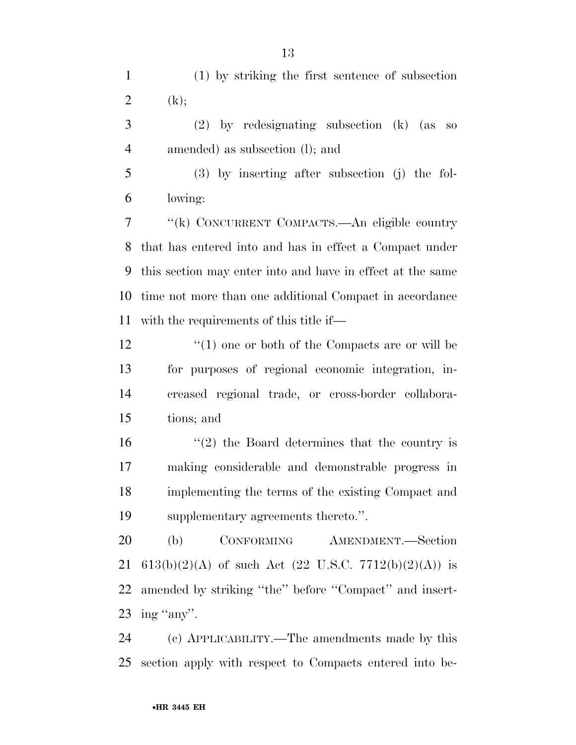(1) by striking the first sentence of subsection 2  $(k);$ 

 (2) by redesignating subsection (k) (as so amended) as subsection (l); and

 (3) by inserting after subsection (j) the fol-lowing:

 ''(k) CONCURRENT COMPACTS.—An eligible country that has entered into and has in effect a Compact under this section may enter into and have in effect at the same time not more than one additional Compact in accordance with the requirements of this title if—

12 ''(1) one or both of the Compacts are or will be for purposes of regional economic integration, in- creased regional trade, or cross-border collabora-tions; and

16 ''(2) the Board determines that the country is making considerable and demonstrable progress in implementing the terms of the existing Compact and supplementary agreements thereto.''.

 (b) CONFORMING AMENDMENT.—Section 21 613(b)(2)(A) of such Act (22 U.S.C. 7712(b)(2)(A)) is 22 amended by striking "the" before "Compact" and insert-23 ing "any".

 (c) APPLICABILITY.—The amendments made by this section apply with respect to Compacts entered into be-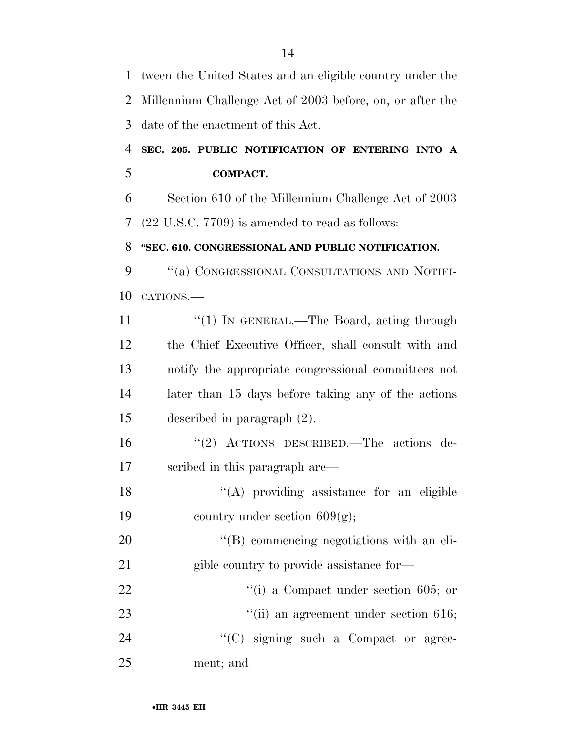tween the United States and an eligible country under the Millennium Challenge Act of 2003 before, on, or after the date of the enactment of this Act. **SEC. 205. PUBLIC NOTIFICATION OF ENTERING INTO A COMPACT.**  Section 610 of the Millennium Challenge Act of 2003 (22 U.S.C. 7709) is amended to read as follows: **''SEC. 610. CONGRESSIONAL AND PUBLIC NOTIFICATION.**  ''(a) CONGRESSIONAL CONSULTATIONS AND NOTIFI- CATIONS.— 11 "(1) IN GENERAL.—The Board, acting through the Chief Executive Officer, shall consult with and notify the appropriate congressional committees not later than 15 days before taking any of the actions described in paragraph (2). ''(2) ACTIONS DESCRIBED.—The actions de- scribed in this paragraph are—  $"({\rm A})$  providing assistance for an eligible 19 country under section  $609(g)$ ;  $'(B)$  commencing negotiations with an eli-21 gible country to provide assistance for- $\frac{1}{10}$  a Compact under section 605; or 23 ''(ii) an agreement under section 616;  $\cdot$  (C) signing such a Compact or agree-ment; and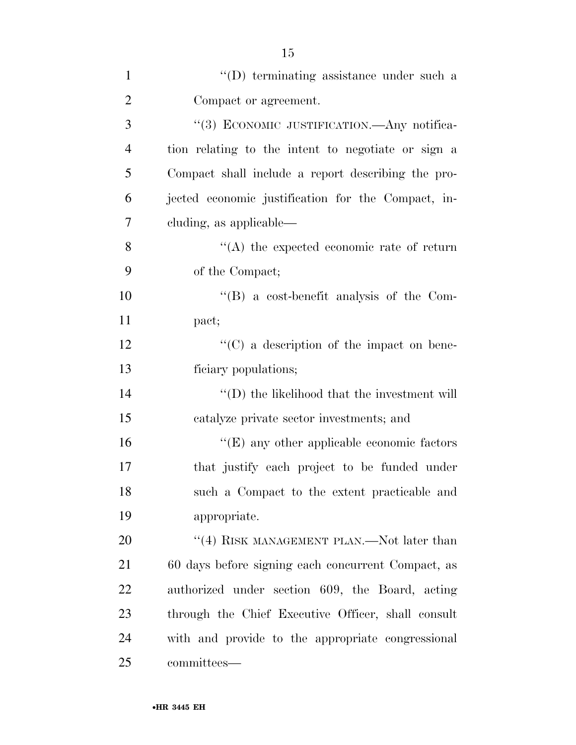| $\mathbf{1}$   | "(D) terminating assistance under such a           |
|----------------|----------------------------------------------------|
| $\overline{2}$ | Compact or agreement.                              |
| 3              | "(3) ECONOMIC JUSTIFICATION.—Any notifica-         |
| $\overline{4}$ | tion relating to the intent to negotiate or sign a |
| 5              | Compact shall include a report describing the pro- |
| 6              | jected economic justification for the Compact, in- |
| 7              | cluding, as applicable—                            |
| 8              | $\lq\lq$ the expected economic rate of return      |
| 9              | of the Compact;                                    |
| 10             | $\lq\lq$ a cost-benefit analysis of the Com-       |
| 11             | pact;                                              |
| 12             | $\lq\lq$ (C) a description of the impact on bene-  |
| 13             | ficiary populations;                               |
| 14             | $\lq\lq$ the likelihood that the investment will   |
| 15             | catalyze private sector investments; and           |
| 16             | $\lq\lq$ (E) any other applicable economic factors |
| 17             | that justify each project to be funded under       |
| 18             | such a Compact to the extent practicable and       |
| 19             | appropriate.                                       |
| 20             | "(4) RISK MANAGEMENT PLAN.—Not later than          |
| 21             | 60 days before signing each concurrent Compact, as |
| 22             | authorized under section 609, the Board, acting    |
| 23             | through the Chief Executive Officer, shall consult |
| 24             | with and provide to the appropriate congressional  |
| 25             | committees-                                        |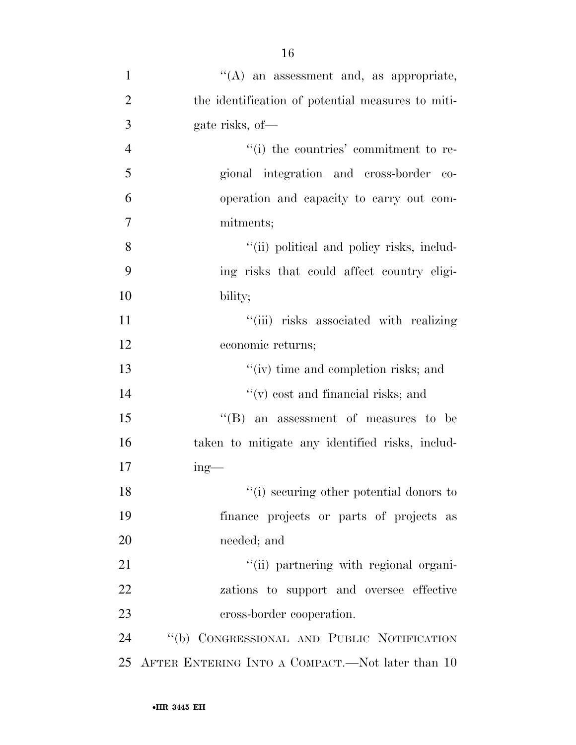| $\mathbf{1}$   | $\lq\lq(A)$ an assessment and, as appropriate,    |
|----------------|---------------------------------------------------|
| $\overline{2}$ | the identification of potential measures to miti- |
| 3              | gate risks, of-                                   |
| $\overline{4}$ | "(i) the countries' commitment to re-             |
| 5              | gional integration and cross-border co-           |
| 6              | operation and capacity to carry out com-          |
| 7              | mitments;                                         |
| 8              | "(ii) political and policy risks, includ-         |
| 9              | ing risks that could affect country eligi-        |
| 10             | bility;                                           |
| 11             | "(iii) risks associated with realizing            |
| 12             | economic returns;                                 |
| 13             | "(iv) time and completion risks; and              |
| 14             | $f'(v)$ cost and financial risks; and             |
| 15             | $\lq\lq$ (B) an assessment of measures to be      |
| 16             | taken to mitigate any identified risks, includ-   |
| 17             | $ing$ —                                           |
| 18             | "(i) securing other potential donors to           |
| 19             | finance projects or parts of projects as          |
| 20             | needed; and                                       |
| 21             | "(ii) partnering with regional organi-            |
| 22             | zations to support and oversee effective          |
| 23             | cross-border cooperation.                         |
| 24             | "(b) CONGRESSIONAL AND PUBLIC NOTIFICATION        |
| 25             | AFTER ENTERING INTO A COMPACT.—Not later than 10  |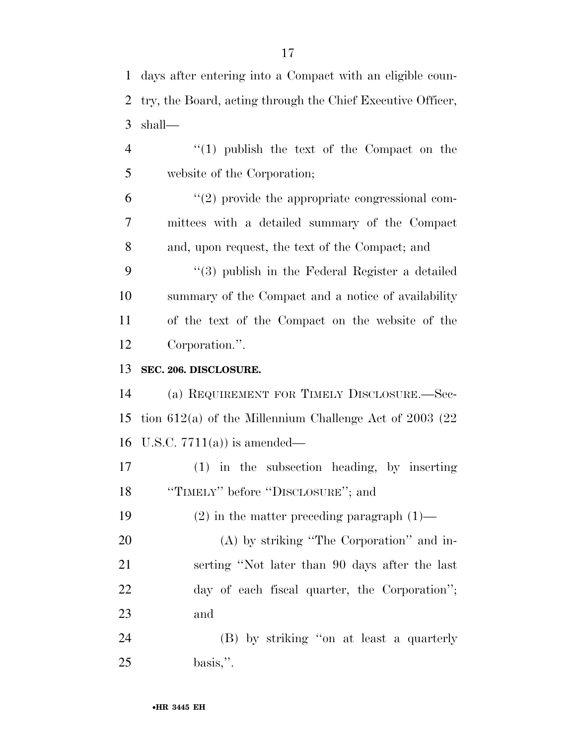| 1              | days after entering into a Compact with an eligible coun-   |
|----------------|-------------------------------------------------------------|
| 2              | try, the Board, acting through the Chief Executive Officer, |
| 3              | shall—                                                      |
| $\overline{4}$ | $"(1)$ publish the text of the Compact on the               |
| 5              | website of the Corporation;                                 |
| 6              | $\lq(2)$ provide the appropriate congressional com-         |
| $\overline{7}$ | mittees with a detailed summary of the Compact              |
| 8              | and, upon request, the text of the Compact; and             |
| 9              | "(3) publish in the Federal Register a detailed             |
| 10             | summary of the Compact and a notice of availability         |
| 11             | of the text of the Compact on the website of the            |
| 12             | Corporation.".                                              |
| 13             | SEC. 206. DISCLOSURE.                                       |
| 14             | (a) REQUIREMENT FOR TIMELY DISCLOSURE.—Sec-                 |
| 15             | tion $612(a)$ of the Millennium Challenge Act of 2003 (22)  |
| 16             | U.S.C. $7711(a)$ is amended—                                |
| 17             | $(1)$ in the subsection heading, by inserting               |
| 18             | "TIMELY" before "DISCLOSURE"; and                           |
| 19             | $(2)$ in the matter preceding paragraph $(1)$ —             |
| 20             | $(A)$ by striking "The Corporation" and in-                 |
| 21             | serting "Not later than 90 days after the last              |
| 22             | day of each fiscal quarter, the Corporation";               |
| 23             | and                                                         |
| 24             | (B) by striking "on at least a quarterly                    |
| 25             | $basis,$ ".                                                 |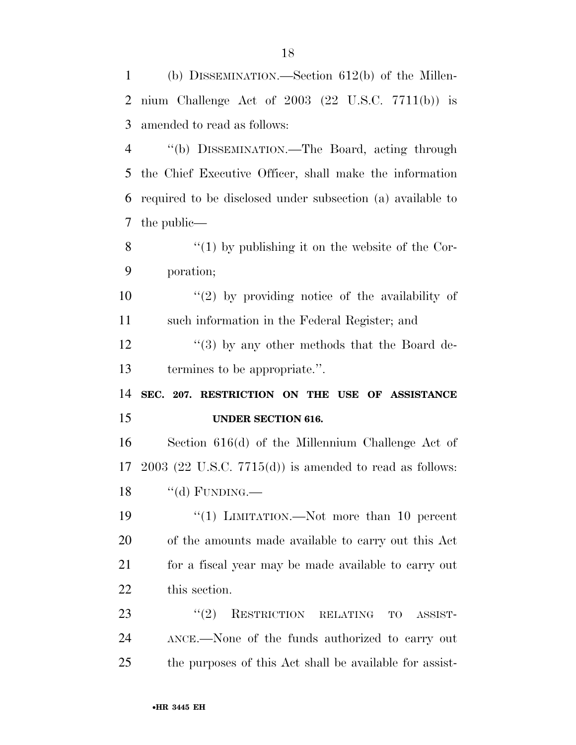| $\mathbf{1}$   | (b) DISSEMINATION.—Section $612(b)$ of the Millen-             |
|----------------|----------------------------------------------------------------|
| 2              | nium Challenge Act of $2003$ $(22 \text{ U.S.C. } 7711(b))$ is |
| 3              | amended to read as follows:                                    |
| $\overline{4}$ | "(b) DISSEMINATION.—The Board, acting through                  |
| 5              | the Chief Executive Officer, shall make the information        |
| 6              | required to be disclosed under subsection (a) available to     |
| 7              | the public—                                                    |
| 8              | $\lq(1)$ by publishing it on the website of the Cor-           |
| 9              | poration;                                                      |
| 10             | $\lq(2)$ by providing notice of the availability of            |
| 11             | such information in the Federal Register; and                  |
| 12             | $\cdot\cdot$ (3) by any other methods that the Board de-       |
| 13             | termines to be appropriate.".                                  |
|                |                                                                |
| 14             | SEC. 207. RESTRICTION ON THE USE OF ASSISTANCE                 |
| 15             | <b>UNDER SECTION 616.</b>                                      |
| 16             | Section 616(d) of the Millennium Challenge Act of              |
| 17             | $2003$ (22 U.S.C. 7715(d)) is amended to read as follows:      |
| 18             | $``$ (d) FUNDING.—                                             |
| 19             | "(1) LIMITATION.—Not more than 10 percent                      |
| 20             | of the amounts made available to carry out this Act            |
| 21             | for a fiscal year may be made available to carry out           |
| 22             | this section.                                                  |
| 23             | RESTRICTION RELATING<br>(2)<br>TO<br>ASSIST-                   |
| 24             | ANCE.—None of the funds authorized to carry out                |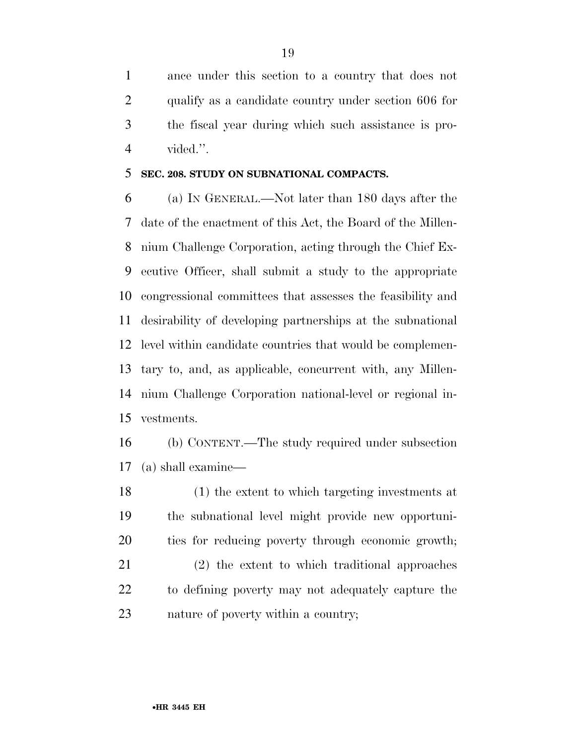ance under this section to a country that does not qualify as a candidate country under section 606 for the fiscal year during which such assistance is pro-vided.''.

### **SEC. 208. STUDY ON SUBNATIONAL COMPACTS.**

 (a) IN GENERAL.—Not later than 180 days after the date of the enactment of this Act, the Board of the Millen- nium Challenge Corporation, acting through the Chief Ex- ecutive Officer, shall submit a study to the appropriate congressional committees that assesses the feasibility and desirability of developing partnerships at the subnational level within candidate countries that would be complemen- tary to, and, as applicable, concurrent with, any Millen- nium Challenge Corporation national-level or regional in-vestments.

 (b) CONTENT.—The study required under subsection (a) shall examine—

 (1) the extent to which targeting investments at the subnational level might provide new opportuni-ties for reducing poverty through economic growth;

 (2) the extent to which traditional approaches to defining poverty may not adequately capture the nature of poverty within a country;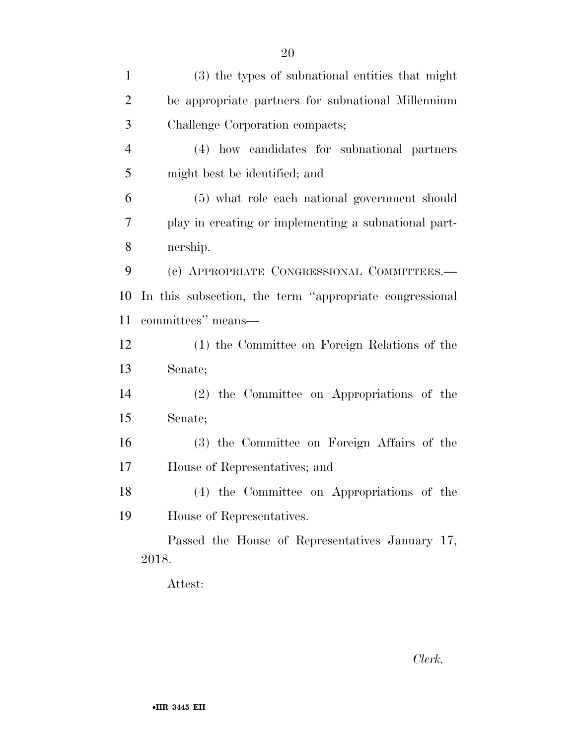| $\mathbf{1}$   | (3) the types of subnational entities that might        |
|----------------|---------------------------------------------------------|
| $\overline{2}$ | be appropriate partners for subnational Millennium      |
| 3              | Challenge Corporation compacts;                         |
| $\overline{4}$ | (4) how candidates for subnational partners             |
| 5              | might best be identified; and                           |
| 6              | (5) what role each national government should           |
| 7              | play in creating or implementing a subnational part-    |
| 8              | nership.                                                |
| 9              | (c) APPROPRIATE CONGRESSIONAL COMMITTEES.-              |
| 10             | In this subsection, the term "appropriate congressional |
| 11             | committees" means-                                      |
| 12             | (1) the Committee on Foreign Relations of the           |
| 13             | Senate;                                                 |
| 14             | (2) the Committee on Appropriations of the              |
| 15             | Senate;                                                 |
| 16             | (3) the Committee on Foreign Affairs of the             |
| 17             | House of Representatives; and                           |
| 18             | (4) the Committee on Appropriations of the              |
| 19             | House of Representatives.                               |
|                | Passed the House of Representatives January 17,         |
|                | 2018.                                                   |
|                |                                                         |

Attest:

*Clerk.*